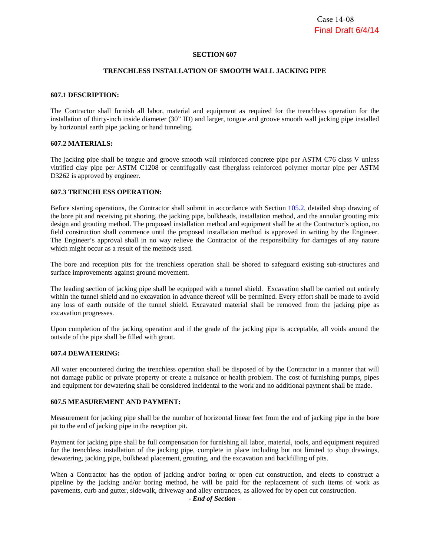#### **SECTION 607**

#### **TRENCHLESS INSTALLATION OF SMOOTH WALL JACKING PIPE**

#### **607.1 DESCRIPTION:**

The Contractor shall furnish all labor, material and equipment as required for the trenchless operation for the installation of thirty-inch inside diameter (30" ID) and larger, tongue and groove smooth wall jacking pipe installed by horizontal earth pipe jacking or hand tunneling.

#### **607.2 MATERIALS:**

The jacking pipe shall be tongue and groove smooth wall reinforced concrete pipe per ASTM C76 class V unless vitrified clay pipe per ASTM C1208 or centrifugally cast fiberglass reinforced polymer mortar pipe per ASTM D3262 is approved by engineer.

#### **607.3 TRENCHLESS OPERATION:**

Before starting operations, the Contractor shall submit in accordance with Section 105.2, detailed shop drawing of the bore pit and receiving pit shoring, the jacking pipe, bulkheads, installation method, and the annular grouting mix design and grouting method. The proposed installation method and equipment shall be at the Contractor's option, no field construction shall commence until the proposed installation method is approved in writing by the Engineer. The Engineer's approval shall in no way relieve the Contractor of the responsibility for damages of any nature which might occur as a result of the methods used.

The bore and reception pits for the trenchless operation shall be shored to safeguard existing sub-structures and surface improvements against ground movement.

The leading section of jacking pipe shall be equipped with a tunnel shield. Excavation shall be carried out entirely within the tunnel shield and no excavation in advance thereof will be permitted. Every effort shall be made to avoid any loss of earth outside of the tunnel shield. Excavated material shall be removed from the jacking pipe as excavation progresses.

Upon completion of the jacking operation and if the grade of the jacking pipe is acceptable, all voids around the outside of the pipe shall be filled with grout.

#### **607.4 DEWATERING:**

All water encountered during the trenchless operation shall be disposed of by the Contractor in a manner that will not damage public or private property or create a nuisance or health problem. The cost of furnishing pumps, pipes and equipment for dewatering shall be considered incidental to the work and no additional payment shall be made.

#### **607.5 MEASUREMENT AND PAYMENT:**

Measurement for jacking pipe shall be the number of horizontal linear feet from the end of jacking pipe in the bore pit to the end of jacking pipe in the reception pit.

Payment for jacking pipe shall be full compensation for furnishing all labor, material, tools, and equipment required for the trenchless installation of the jacking pipe, complete in place including but not limited to shop drawings, dewatering, jacking pipe, bulkhead placement, grouting, and the excavation and backfilling of pits.

When a Contractor has the option of jacking and/or boring or open cut construction, and elects to construct a pipeline by the jacking and/or boring method, he will be paid for the replacement of such items of work as pavements, curb and gutter, sidewalk, driveway and alley entrances, as allowed for by open cut construction.

- *End of Section* –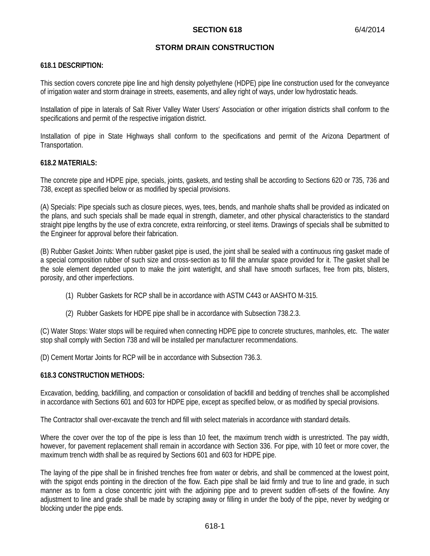### **STORM DRAIN CONSTRUCTION**

### **618.1 DESCRIPTION:**

This section covers concrete pipe line and high density polyethylene (HDPE) pipe line construction used for the conveyance of irrigation water and storm drainage in streets, easements, and alley right of ways, under low hydrostatic heads.

Installation of pipe in laterals of Salt River Valley Water Users' Association or other irrigation districts shall conform to the specifications and permit of the respective irrigation district.

Installation of pipe in State Highways shall conform to the specifications and permit of the Arizona Department of Transportation.

#### **618.2 MATERIALS:**

The concrete pipe and HDPE pipe, specials, joints, gaskets, and testing shall be according to Sections 620 or 735, 736 and 738, except as specified below or as modified by special provisions.

(A) Specials: Pipe specials such as closure pieces, wyes, tees, bends, and manhole shafts shall be provided as indicated on the plans, and such specials shall be made equal in strength, diameter, and other physical characteristics to the standard straight pipe lengths by the use of extra concrete, extra reinforcing, or steel items. Drawings of specials shall be submitted to the Engineer for approval before their fabrication.

(B) Rubber Gasket Joints: When rubber gasket pipe is used, the joint shall be sealed with a continuous ring gasket made of a special composition rubber of such size and cross-section as to fill the annular space provided for it. The gasket shall be the sole element depended upon to make the joint watertight, and shall have smooth surfaces, free from pits, blisters, porosity, and other imperfections.

- (1) Rubber Gaskets for RCP shall be in accordance with ASTM C443 or AASHTO M-315.
- (2) Rubber Gaskets for HDPE pipe shall be in accordance with Subsection 738.2.3.

(C) Water Stops: Water stops will be required when connecting HDPE pipe to concrete structures, manholes, etc. The water stop shall comply with Section 738 and will be installed per manufacturer recommendations.

(D) Cement Mortar Joints for RCP will be in accordance with Subsection 736.3.

### **618.3 CONSTRUCTION METHODS:**

Excavation, bedding, backfilling, and compaction or consolidation of backfill and bedding of trenches shall be accomplished in accordance with Sections 601 and 603 for HDPE pipe, except as specified below, or as modified by special provisions.

The Contractor shall over-excavate the trench and fill with select materials in accordance with standard details.

Where the cover over the top of the pipe is less than 10 feet, the maximum trench width is unrestricted. The pay width, however, for pavement replacement shall remain in accordance with Section 336. For pipe, with 10 feet or more cover, the maximum trench width shall be as required by Sections 601 and 603 for HDPE pipe.

The laying of the pipe shall be in finished trenches free from water or debris, and shall be commenced at the lowest point, with the spigot ends pointing in the direction of the flow. Each pipe shall be laid firmly and true to line and grade, in such manner as to form a close concentric joint with the adjoining pipe and to prevent sudden off-sets of the flowline. Any adjustment to line and grade shall be made by scraping away or filling in under the body of the pipe, never by wedging or blocking under the pipe ends.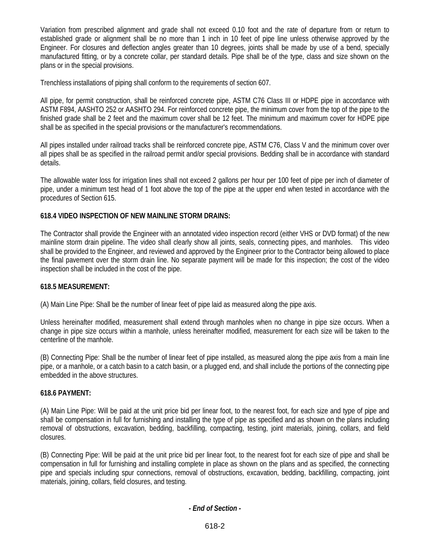Variation from prescribed alignment and grade shall not exceed 0.10 foot and the rate of departure from or return to established grade or alignment shall be no more than 1 inch in 10 feet of pipe line unless otherwise approved by the Engineer. For closures and deflection angles greater than 10 degrees, joints shall be made by use of a bend, specially manufactured fitting, or by a concrete collar, per standard details. Pipe shall be of the type, class and size shown on the plans or in the special provisions.

Trenchless installations of piping shall conform to the requirements of section 607.

All pipe, for permit construction, shall be reinforced concrete pipe, ASTM C76 Class III or HDPE pipe in accordance with ASTM F894, AASHTO 252 or AASHTO 294. For reinforced concrete pipe, the minimum cover from the top of the pipe to the finished grade shall be 2 feet and the maximum cover shall be 12 feet. The minimum and maximum cover for HDPE pipe shall be as specified in the special provisions or the manufacturer's recommendations.

All pipes installed under railroad tracks shall be reinforced concrete pipe, ASTM C76, Class V and the minimum cover over all pipes shall be as specified in the railroad permit and/or special provisions. Bedding shall be in accordance with standard details.

The allowable water loss for irrigation lines shall not exceed 2 gallons per hour per 100 feet of pipe per inch of diameter of pipe, under a minimum test head of 1 foot above the top of the pipe at the upper end when tested in accordance with the procedures of Section 615.

# **618.4 VIDEO INSPECTION OF NEW MAINLINE STORM DRAINS:**

The Contractor shall provide the Engineer with an annotated video inspection record (either VHS or DVD format) of the new mainline storm drain pipeline. The video shall clearly show all joints, seals, connecting pipes, and manholes. This video shall be provided to the Engineer, and reviewed and approved by the Engineer prior to the Contractor being allowed to place the final pavement over the storm drain line. No separate payment will be made for this inspection; the cost of the video inspection shall be included in the cost of the pipe.

# **618.5 MEASUREMENT:**

(A) Main Line Pipe: Shall be the number of linear feet of pipe laid as measured along the pipe axis.

Unless hereinafter modified, measurement shall extend through manholes when no change in pipe size occurs. When a change in pipe size occurs within a manhole, unless hereinafter modified, measurement for each size will be taken to the centerline of the manhole.

(B) Connecting Pipe: Shall be the number of linear feet of pipe installed, as measured along the pipe axis from a main line pipe, or a manhole, or a catch basin to a catch basin, or a plugged end, and shall include the portions of the connecting pipe embedded in the above structures.

# **618.6 PAYMENT:**

(A) Main Line Pipe: Will be paid at the unit price bid per linear foot, to the nearest foot, for each size and type of pipe and shall be compensation in full for furnishing and installing the type of pipe as specified and as shown on the plans including removal of obstructions, excavation, bedding, backfilling, compacting, testing, joint materials, joining, collars, and field closures.

(B) Connecting Pipe: Will be paid at the unit price bid per linear foot, to the nearest foot for each size of pipe and shall be compensation in full for furnishing and installing complete in place as shown on the plans and as specified, the connecting pipe and specials including spur connections, removal of obstructions, excavation, bedding, backfilling, compacting, joint materials, joining, collars, field closures, and testing.

# *- End of Section -*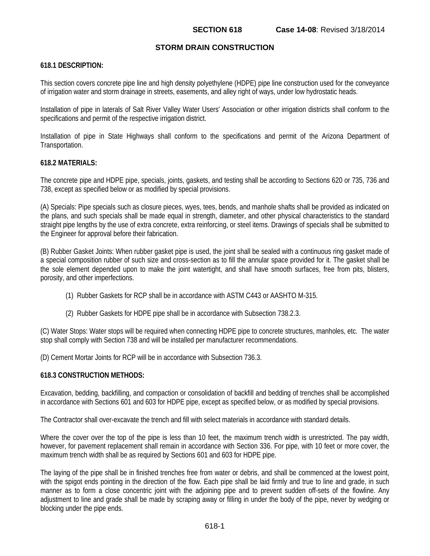### **STORM DRAIN CONSTRUCTION**

### **618.1 DESCRIPTION:**

This section covers concrete pipe line and high density polyethylene (HDPE) pipe line construction used for the conveyance of irrigation water and storm drainage in streets, easements, and alley right of ways, under low hydrostatic heads.

Installation of pipe in laterals of Salt River Valley Water Users' Association or other irrigation districts shall conform to the specifications and permit of the respective irrigation district.

Installation of pipe in State Highways shall conform to the specifications and permit of the Arizona Department of Transportation.

#### **618.2 MATERIALS:**

The concrete pipe and HDPE pipe, specials, joints, gaskets, and testing shall be according to Sections 620 or 735, 736 and 738, except as specified below or as modified by special provisions.

(A) Specials: Pipe specials such as closure pieces, wyes, tees, bends, and manhole shafts shall be provided as indicated on the plans, and such specials shall be made equal in strength, diameter, and other physical characteristics to the standard straight pipe lengths by the use of extra concrete, extra reinforcing, or steel items. Drawings of specials shall be submitted to the Engineer for approval before their fabrication.

(B) Rubber Gasket Joints: When rubber gasket pipe is used, the joint shall be sealed with a continuous ring gasket made of a special composition rubber of such size and cross-section as to fill the annular space provided for it. The gasket shall be the sole element depended upon to make the joint watertight, and shall have smooth surfaces, free from pits, blisters, porosity, and other imperfections.

- (1) Rubber Gaskets for RCP shall be in accordance with ASTM C443 or AASHTO M-315.
- (2) Rubber Gaskets for HDPE pipe shall be in accordance with Subsection 738.2.3.

(C) Water Stops: Water stops will be required when connecting HDPE pipe to concrete structures, manholes, etc. The water stop shall comply with Section 738 and will be installed per manufacturer recommendations.

(D) Cement Mortar Joints for RCP will be in accordance with Subsection 736.3.

#### **618.3 CONSTRUCTION METHODS:**

Excavation, bedding, backfilling, and compaction or consolidation of backfill and bedding of trenches shall be accomplished in accordance with Sections 601 and 603 for HDPE pipe, except as specified below, or as modified by special provisions.

The Contractor shall over-excavate the trench and fill with select materials in accordance with standard details.

Where the cover over the top of the pipe is less than 10 feet, the maximum trench width is unrestricted. The pay width, however, for pavement replacement shall remain in accordance with Section 336. For pipe, with 10 feet or more cover, the maximum trench width shall be as required by Sections 601 and 603 for HDPE pipe.

The laying of the pipe shall be in finished trenches free from water or debris, and shall be commenced at the lowest point, with the spigot ends pointing in the direction of the flow. Each pipe shall be laid firmly and true to line and grade, in such manner as to form a close concentric joint with the adjoining pipe and to prevent sudden off-sets of the flowline. Any adjustment to line and grade shall be made by scraping away or filling in under the body of the pipe, never by wedging or blocking under the pipe ends.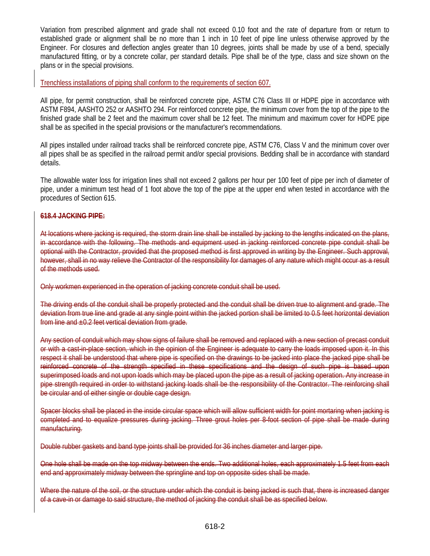Variation from prescribed alignment and grade shall not exceed 0.10 foot and the rate of departure from or return to established grade or alignment shall be no more than 1 inch in 10 feet of pipe line unless otherwise approved by the Engineer. For closures and deflection angles greater than 10 degrees, joints shall be made by use of a bend, specially manufactured fitting, or by a concrete collar, per standard details. Pipe shall be of the type, class and size shown on the plans or in the special provisions.

Trenchless installations of piping shall conform to the requirements of section 607.

All pipe, for permit construction, shall be reinforced concrete pipe, ASTM C76 Class III or HDPE pipe in accordance with ASTM F894, AASHTO 252 or AASHTO 294. For reinforced concrete pipe, the minimum cover from the top of the pipe to the finished grade shall be 2 feet and the maximum cover shall be 12 feet. The minimum and maximum cover for HDPE pipe shall be as specified in the special provisions or the manufacturer's recommendations.

All pipes installed under railroad tracks shall be reinforced concrete pipe, ASTM C76, Class V and the minimum cover over all pipes shall be as specified in the railroad permit and/or special provisions. Bedding shall be in accordance with standard details.

The allowable water loss for irrigation lines shall not exceed 2 gallons per hour per 100 feet of pipe per inch of diameter of pipe, under a minimum test head of 1 foot above the top of the pipe at the upper end when tested in accordance with the procedures of Section 615.

# **618.4 JACKING PIPE:**

At locations where jacking is required, the storm drain line shall be installed by jacking to the lengths indicated on the plans, in accordance with the following. The methods and equipment used in jacking reinforced concrete pipe conduit shall be optional with the Contractor, provided that the proposed method is first approved in writing by the Engineer. Such approval, however, shall in no way relieve the Contractor of the responsibility for damages of any nature which might occur as a result of the methods used.

Only workmen experienced in the operation of jacking concrete conduit shall be used.

The driving ends of the conduit shall be properly protected and the conduit shall be driven true to alignment and grade. deviation from true line and grade at any single point within the jacked portion shall be limited to 0.5 feet horizontal deviation from line and ±0.2 feet vertical deviation from grade.

Any section of conduit which may show signs of failure shall be removed and replaced with a new section of precast conduit or with a cast-in-place section, which in the opinion of the Engineer is adequate to carry the loads imposed upon it. In this respect it shall be understood that where pipe is specified on the drawings to be jacked into place the jacked pipe shall be reinforced concrete of the strength specified in these specifications and the design of such pipe is based upon superimposed loads and not upon loads which may be placed upon the pipe as a result of jacking operation. Any increase in pipe strength required in order to withstand jacking loads shall be the responsibility of the Contractor. The reinforcing shall be circular and of either single or double cage design.

Spacer blocks shall be placed in the inside circular space which will allow sufficient width for point mortaring when jacking is completed and to equalize pressures during jacking. Three grout holes per 8-foot section of pipe shall be made during manufacturing.

Double rubber gaskets and band type joints shall be provided for 36 inches diameter and larger pipe.

One hole shall be made on the top midway between the ends. Two additional holes, each approximately 1.5 feet from each end and approximately midway between the springline and top on opposite sides shall be made.

Where the nature of the soil, or the structure under which the conduit is being jacked is such that, there is increased danger of a cave-in or damage to said structure, the method of jacking the conduit shall be as specified below.